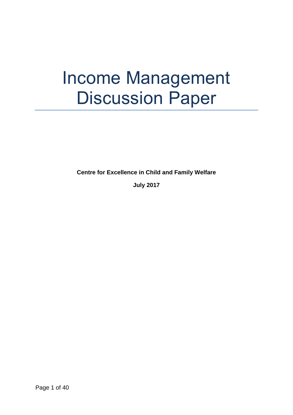# Income Management Discussion Paper

**Centre for Excellence in Child and Family Welfare**

**July 2017**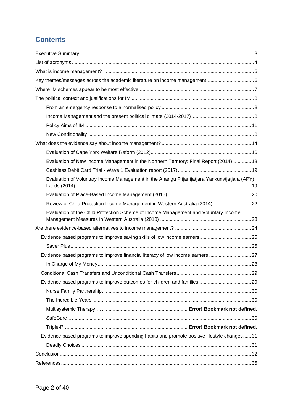### **Contents**

| Evaluation of New Income Management in the Northern Territory: Final Report (2014) 18        |  |
|----------------------------------------------------------------------------------------------|--|
|                                                                                              |  |
| Evaluation of Voluntary Income Management in the Anangu Pitjantjatjara Yankunytjatjara (APY) |  |
|                                                                                              |  |
| Review of Child Protection Income Management in Western Australia (2014)  22                 |  |
| Evaluation of the Child Protection Scheme of Income Management and Voluntary Income          |  |
|                                                                                              |  |
|                                                                                              |  |
|                                                                                              |  |
| Evidence based programs to improve financial literacy of low income earners 27               |  |
|                                                                                              |  |
|                                                                                              |  |
|                                                                                              |  |
|                                                                                              |  |
|                                                                                              |  |
|                                                                                              |  |
|                                                                                              |  |
|                                                                                              |  |
| Evidence based programs to improve spending habits and promote positive lifestyle changes31  |  |
|                                                                                              |  |
|                                                                                              |  |
|                                                                                              |  |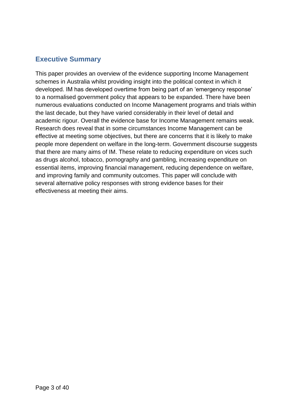#### <span id="page-2-0"></span>**Executive Summary**

This paper provides an overview of the evidence supporting Income Management schemes in Australia whilst providing insight into the political context in which it developed. IM has developed overtime from being part of an 'emergency response' to a normalised government policy that appears to be expanded. There have been numerous evaluations conducted on Income Management programs and trials within the last decade, but they have varied considerably in their level of detail and academic rigour. Overall the evidence base for Income Management remains weak. Research does reveal that in some circumstances Income Management can be effective at meeting some objectives, but there are concerns that it is likely to make people more dependent on welfare in the long-term. Government discourse suggests that there are many aims of IM. These relate to reducing expenditure on vices such as drugs alcohol, tobacco, pornography and gambling, increasing expenditure on essential items, improving financial management, reducing dependence on welfare, and improving family and community outcomes. This paper will conclude with several alternative policy responses with strong evidence bases for their effectiveness at meeting their aims.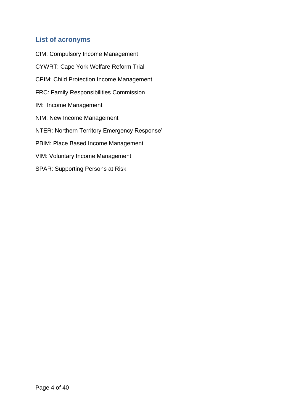#### <span id="page-3-0"></span>**List of acronyms**

CIM: Compulsory Income Management CYWRT: Cape York Welfare Reform Trial CPIM: Child Protection Income Management FRC: Family Responsibilities Commission IM: Income Management NIM: New Income Management NTER: Northern Territory Emergency Response' PBIM: Place Based Income Management VIM: Voluntary Income Management SPAR: Supporting Persons at Risk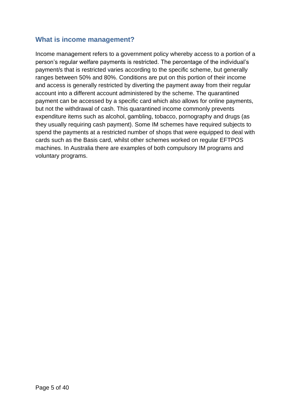#### <span id="page-4-0"></span>**What is income management?**

Income management refers to a government policy whereby access to a portion of a person's regular welfare payments is restricted. The percentage of the individual's payment/s that is restricted varies according to the specific scheme, but generally ranges between 50% and 80%. Conditions are put on this portion of their income and access is generally restricted by diverting the payment away from their regular account into a different account administered by the scheme. The quarantined payment can be accessed by a specific card which also allows for online payments, but not the withdrawal of cash. This quarantined income commonly prevents expenditure items such as alcohol, gambling, tobacco, pornography and drugs (as they usually requiring cash payment). Some IM schemes have required subjects to spend the payments at a restricted number of shops that were equipped to deal with cards such as the Basis card, whilst other schemes worked on regular EFTPOS machines. In Australia there are examples of both compulsory IM programs and voluntary programs.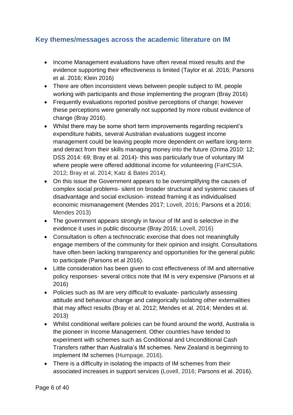#### <span id="page-5-0"></span>**Key themes/messages across the academic literature on IM**

- Income Management evaluations have often reveal mixed results and the evidence supporting their effectiveness is limited (Taylor et al. 2016; Parsons et al. 2016; Klein 2016)
- There are often inconsistent views between people subject to IM, people working with participants and those implementing the program (Bray 2016)
- Frequently evaluations reported positive perceptions of change; however these perceptions were generally not supported by more robust evidence of change (Bray 2016).
- Whilst there may be some short term improvements regarding recipient's expenditure habits, several Australian evaluations suggest income management could be leaving people more dependent on welfare long-term and detract from their skills managing money into the future (Orima 2010: 12; DSS 2014: 69; Bray et al. 2014)- this was particularly true of voluntary IM where people were offered additional income for volunteering (FaHCSIA. 2012; Bray et al. 2014; Katz & Bates 2014).
- On this issue the Government appears to be oversimplifying the causes of complex social problems- silent on broader structural and systemic causes of disadvantage and social exclusion- instead framing it as individualised economic mismanagement (Mendes 2017; Lovell, 2016; Parsons et a 2016; Mendes 2013)
- The government appears strongly in favour of IM and is selective in the evidence it uses in public discourse (Bray 2016; Lovell, 2016)
- Consultation is often a technocratic exercise that does not meaningfully engage members of the community for their opinion and insight. Consultations have often been lacking transparency and opportunities for the general public to participate (Parsons et al 2016).
- Little consideration has been given to cost effectiveness of IM and alternative policy responses- several critics note that IM is very expensive (Parsons et al 2016)
- Policies such as IM are very difficult to evaluate- particularly assessing attitude and behaviour change and categorically isolating other externalities that may affect results (Bray et al. 2012; Mendes et al. 2014; Mendes et al. 2013)
- Whilst conditional welfare policies can be found around the world, Australia is the pioneer in Income Management. Other countries have tended to experiment with schemes such as Conditional and Unconditional Cash Transfers rather than Australia's IM schemes. New Zealand is beginning to implement IM schemes (Humpage, 2016).
- There is a difficulty in isolating the impacts of IM schemes from their associated increases in support services (Lovell, 2016; Parsons et al. 2016).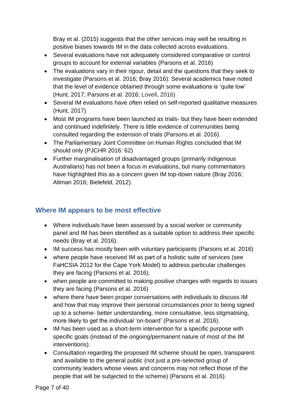Bray et al. (2015) suggests that the other services may well be resulting in positive biases towards IM in the data collected across evaluations.

- Several evaluations have not adequately considered comparative or control groups to account for external variables (Parsons et al. 2016)
- The evaluations vary in their rigour, detail and the questions that they seek to investigate (Parsons et al. 2016; Bray 2016). Several academics have noted that the level of evidence obtained through some evaluations is 'quite low' (Hunt, 2017; Parsons et al. 2016; Lovell, 2016)
- Several IM evaluations have often relied on self-reported qualitative measures (Hunt, 2017)
- Most IM programs have been launched as trials- but they have been extended and continued indefinitely. There is little evidence of communities being consulted regarding the extension of trials (Parsons et al. 2016).
- The Parliamentary Joint Committee on Human Rights concluded that IM should only (PJCHR 2016: 62)
- Further marginalisation of disadvantaged groups (primarily indigenous Australians) has not been a focus in evaluations, but many commentators have highlighted this as a concern given IM top-down nature (Bray 2016; Altman 2016; Bielefeld, 2012).

#### <span id="page-6-0"></span>**Where IM appears to be most effective**

- Where individuals have been assessed by a social worker or community panel and IM has been identified as a suitable option to address their specific needs (Bray et al. 2016).
- IM success has mostly been with voluntary participants (Parsons et al. 2016)
- where people have received IM as part of a holistic suite of services (see FaHCSIA 2012 for the Cape York Model) to address particular challenges they are facing (Parsons et al. 2016).
- when people are committed to making positive changes with regards to issues they are facing (Parsons et al. 2016)
- where there have been proper conversations with individuals to discuss IM and how that may improve their personal circumstances prior to being signed up to a scheme- better understanding, more consultative, less stigmatising, more likely to get the individual 'on-board' (Parsons et al. 2016).
- IM has been used as a short-term intervention for a specific purpose with specific goals (instead of the ongoing/permanent nature of most of the IM interventions).
- Consultation regarding the proposed IM scheme should be open, transparent and available to the general public (not just a pre-selected group of community leaders whose views and concerns may not reflect those of the people that will be subjected to the scheme) (Parsons et al. 2016).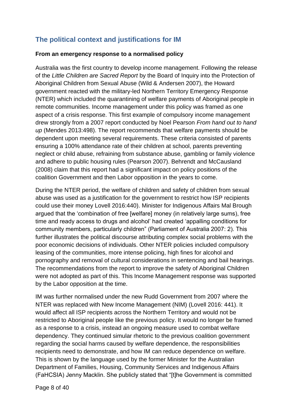#### <span id="page-7-0"></span>**The political context and justifications for IM**

#### <span id="page-7-1"></span>**From an emergency response to a normalised policy**

Australia was the first country to develop income management. Following the release of the *Little Children are Sacred Report* by the Board of Inquiry into the Protection of Aboriginal Children from Sexual Abuse (Wild & Andersen 2007), the Howard government reacted with the military-led Northern Territory Emergency Response (NTER) which included the quarantining of welfare payments of Aboriginal people in remote communities. Income management under this policy was framed as one aspect of a crisis response. This first example of compulsory income management drew strongly from a 2007 report conducted by Noel Pearson *From hand out to hand up* (Mendes 2013:498). The report recommends that welfare payments should be dependent upon meeting several requirements. These criteria consisted of parents ensuring a 100% attendance rate of their children at school, parents preventing neglect or child abuse, refraining from substance abuse, gambling or family violence and adhere to public housing rules (Pearson 2007). Behrendt and McCausland (2008) claim that this report had a significant impact on policy positions of the coalition Government and then Labor opposition in the years to come.

During the NTER period, the welfare of children and safety of children from sexual abuse was used as a justification for the government to restrict how ISP recipients could use their money Lovell 2016:440). Minister for Indigenous Affairs Mal Brough argued that the 'combination of free [welfare] money (in relatively large sums), free time and ready access to drugs and alcohol' had created 'appalling conditions for community members, particularly children" (Parliament of Australia 2007: 2). This further illustrates the political discourse attributing complex social problems with the poor economic decisions of individuals. Other NTER policies included compulsory leasing of the communities, more intense policing, high fines for alcohol and pornography and removal of cultural considerations in sentencing and bail hearings. The recommendations from the report to improve the safety of Aboriginal Children were not adopted as part of this. This Income Management response was supported by the Labor opposition at the time.

IM was further normalised under the new Rudd Government from 2007 where the NTER was replaced with New Income Management (NIM) (Lovell 2016: 441). It would affect all ISP recipients across the Northern Territory and would not be restricted to Aboriginal people like the previous policy. It would no longer be framed as a response to a crisis, instead an ongoing measure used to combat welfare dependency. They continued simular rhetoric to the previous coalition government regarding the social harms caused by welfare dependence, the responsibilities recipients need to demonstrate, and how IM can reduce dependence on welfare. This is shown by the language used by the former Minister for the Australian Department of Families, Housing, Community Services and Indigenous Affairs (FaHCSIA) Jenny Macklin. She publicly stated that "[t]he Government is committed

Page 8 of 40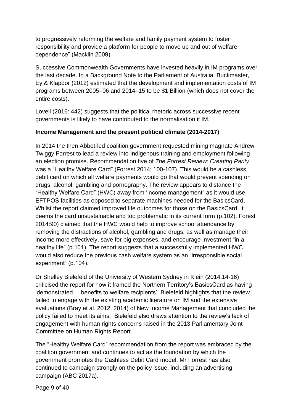to progressively reforming the welfare and family payment system to foster responsibility and provide a platform for people to move up and out of welfare dependence" (Macklin 2009).

Successive Commonwealth Governments have invested heavily in IM programs over the last decade. In a Background Note to the Parliament of Australia, Buckmaster, Ey & Klapdor (2012) estimated that the development and implementation costs of IM programs between 2005–06 and 2014–15 to be \$1 Billion (which does not cover the entire costs).

Lovell (2016: 442) suggests that the political rhetoric across successive recent governments is likely to have contributed to the normalisation if IM.

#### **Income Management and the present political climate (2014-2017)**

In 2014 the then Abbot-led coalition government requested mining magnate Andrew Twiggy Forrest to lead a review into Indigenous training and employment following an election promise. Recommendation five of *The Forrest Review: Creating Parity* was a "Healthy Welfare Card" (Forrest 2014: 100-107). This would be a cashless debit card on which all welfare payments would go that would prevent spending on drugs, alcohol, gambling and pornography. The review appears to distance the "Healthy Welfare Card" (HWC) away from 'income management" as it would use EFTPOS facilities as opposed to separate machines needed for the BasicsCard. Whilst the report claimed improved life outcomes for those on the BasicsCard, it deems the card unsustainable and too problematic in its current form (p.102). Forest 2014:90) claimed that the HWC would help to improve school attendance by removing the distractions of alcohol, gambling and drugs, as well as manage their income more effectively, save for big expenses, and encourage investment "in a healthy life" (p.101). The report suggests that a successfully implemented HWC would also reduce the previous cash welfare system as an "irresponsible social experiment" (p.104).

Dr Shelley Bielefeld of the University of Western Sydney in Klein (2014:14-16) criticised the report for how it framed the Northern Territory's BasicsCard as having 'demonstrated ... benefits to welfare recipients'. Bielefeld highlights that the review failed to engage with the existing academic literature on IM and the extensive evaluations (Bray et al. 2012, 2014) of New Income Management that concluded the policy failed to meet its aims. Bielefeld also draws attention to the review's lack of engagement with human rights concerns raised in the 2013 Parliamentary Joint Committee on Human Rights Report.

The "Healthy Welfare Card" recommendation from the report was embraced by the coalition government and continues to act as the foundation by which the government promotes the Cashless Debit Card model. Mr Forrest has also continued to campaign strongly on the policy issue, including an advertising campaign (ABC 2017a).

Page 9 of 40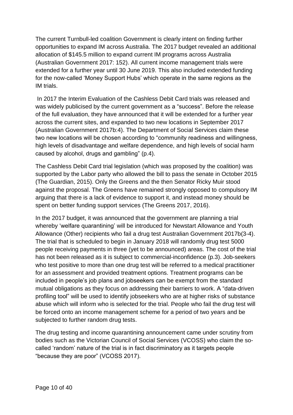The current Turnbull-led coalition Government is clearly intent on finding further opportunities to expand IM across Australia. The 2017 budget revealed an additional allocation of \$145.5 million to expand current IM programs across Australia (Australian Government 2017: 152). All current income management trials were extended for a further year until 30 June 2019. This also included extended funding for the now-called 'Money Support Hubs' which operate in the same regions as the IM trials.

In 2017 the Interim Evaluation of the Cashless Debit Card trials was released and was widely publicised by the current government as a "success". Before the release of the full evaluation, they have announced that it will be extended for a further year across the current sites, and expanded to two new locations in September 2017 (Australian Government 2017b:4). The Department of Social Services claim these two new locations will be chosen according to "community readiness and willingness, high levels of disadvantage and welfare dependence, and high levels of social harm caused by alcohol, drugs and gambling" (p.4).

The Cashless Debit Card trial legislation (which was proposed by the coalition) was supported by the Labor party who allowed the bill to pass the senate in October 2015 (The Guardian, 2015). Only the Greens and the then Senator Ricky Muir stood against the proposal. The Greens have remained strongly opposed to compulsory IM arguing that there is a lack of evidence to support it, and instead money should be spent on better funding support services (The Greens 2017, 2016).

In the 2017 budget, it was announced that the government are planning a trial whereby 'welfare quarantining' will be introduced for Newstart Allowance and Youth Allowance (Other) recipients who fail a drug test Australian Government 2017b(3-4). The trial that is scheduled to begin in January 2018 will randomly drug test 5000 people receiving payments in three (yet to be announced) areas. The cost of the trial has not been released as it is subject to commercial-inconfidence (p.3). Job-seekers who test positive to more than one drug test will be referred to a medical practitioner for an assessment and provided treatment options. Treatment programs can be included in people's job plans and jobseekers can be exempt from the standard mutual obligations as they focus on addressing their barriers to work. A "data-driven profiling tool" will be used to identify jobseekers who are at higher risks of substance abuse which will inform who is selected for the trial. People who fail the drug test will be forced onto an income management scheme for a period of two years and be subjected to further random drug tests.

The drug testing and income quarantining announcement came under scrutiny from bodies such as the Victorian Council of Social Services (VCOSS) who claim the socalled 'random' nature of the trial is in fact discriminatory as it targets people "because they are poor" (VCOSS 2017).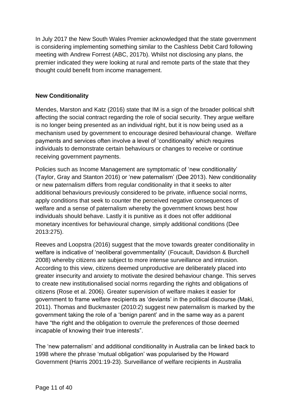In July 2017 the New South Wales Premier acknowledged that the state government is considering implementing something similar to the Cashless Debit Card following meeting with Andrew Forrest (ABC, 2017b). Whilst not disclosing any plans, the premier indicated they were looking at rural and remote parts of the state that they thought could benefit from income management.

#### <span id="page-10-0"></span>**New Conditionality**

Mendes, Marston and Katz (2016) state that IM is a sign of the broader political shift affecting the social contract regarding the role of social security. They argue welfare is no longer being presented as an individual right, but it is now being used as a mechanism used by government to encourage desired behavioural change. Welfare payments and services often involve a level of 'conditionality' which requires individuals to demonstrate certain behaviours or changes to receive or continue receiving government payments.

Policies such as Income Management are symptomatic of 'new conditionality' (Taylor, Gray and Stanton 2016) or 'new paternalism' (Dee 2013). New conditionality or new paternalism differs from regular conditionality in that it seeks to alter additional behaviours previously considered to be private, influence social norms, apply conditions that seek to counter the perceived negative consequences of welfare and a sense of paternalism whereby the government knows best how individuals should behave. Lastly it is punitive as it does not offer additional monetary incentives for behavioural change, simply additional conditions (Dee 2013:275).

Reeves and Loopstra (2016) suggest that the move towards greater conditionality in welfare is indicative of 'neoliberal governmentality' (Foucault, Davidson & Burchell 2008) whereby citizens are subject to more intense surveillance and intrusion. According to this view, citizens deemed unproductive are deliberately placed into greater insecurity and anxiety to motivate the desired behaviour change. This serves to create new institutionalised social norms regarding the rights and obligations of citizens (Rose et al. 2006). Greater supervision of welfare makes it easier for government to frame welfare recipients as 'deviants' in the political discourse (Maki, 2011). Thomas and Buckmaster (2010:2) suggest new paternalism is marked by the government taking the role of a 'benign parent' and in the same way as a parent have "the right and the obligation to overrule the preferences of those deemed incapable of knowing their true interests".

The 'new paternalism' and additional conditionality in Australia can be linked back to 1998 where the phrase 'mutual obligation' was popularised by the Howard Government (Harris 2001:19-23). Surveillance of welfare recipients in Australia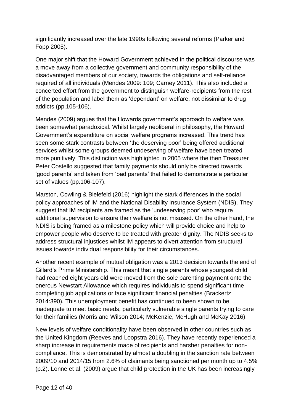significantly increased over the late 1990s following several reforms (Parker and Fopp 2005).

One major shift that the Howard Government achieved in the political discourse was a move away from a collective government and community responsibility of the disadvantaged members of our society, towards the obligations and self-reliance required of all individuals (Mendes 2009: 109; Carney 2011). This also included a concerted effort from the government to distinguish welfare-recipients from the rest of the population and label them as 'dependant' on welfare, not dissimilar to drug addicts (pp.105-106).

Mendes (2009) argues that the Howards government's approach to welfare was been somewhat paradoxical. Whilst largely neoliberal in philosophy, the Howard Government's expenditure on social welfare programs increased. This trend has seen some stark contrasts between 'the deserving poor' being offered additional services whilst some groups deemed undeserving of welfare have been treated more punitively. This distinction was highlighted in 2005 where the then Treasurer Peter Costello suggested that family payments should only be directed towards 'good parents' and taken from 'bad parents' that failed to demonstrate a particular set of values (pp.106-107).

Marston, Cowling & Bielefeld (2016) highlight the stark differences in the social policy approaches of IM and the National Disability Insurance System (NDIS). They suggest that IM recipients are framed as the 'undeserving poor' who require additional supervision to ensure their welfare is not misused. On the other hand, the NDIS is being framed as a milestone policy which will provide choice and help to empower people who deserve to be treated with greater dignity. The NDIS seeks to address structural injustices whilst IM appears to divert attention from structural issues towards individual responsibility for their circumstances.

Another recent example of mutual obligation was a 2013 decision towards the end of Gillard's Prime Ministership. This meant that single parents whose youngest child had reached eight years old were moved from the sole parenting payment onto the onerous Newstart Allowance which requires individuals to spend significant time completing job applications or face significant financial penalties (Brackertz 2014:390). This unemployment benefit has continued to been shown to be inadequate to meet basic needs, particularly vulnerable single parents trying to care for their families (Morris and Wilson 2014; McKenzie, McHugh and McKay 2016).

New levels of welfare conditionality have been observed in other countries such as the United Kingdom (Reeves and Loopstra 2016). They have recently experienced a sharp increase in requirements made of recipients and harsher penalties for noncompliance. This is demonstrated by almost a doubling in the sanction rate between 2009/10 and 2014/15 from 2.6% of claimants being sanctioned per month up to 4.5% (p.2). Lonne et al. (2009) argue that child protection in the UK has been increasingly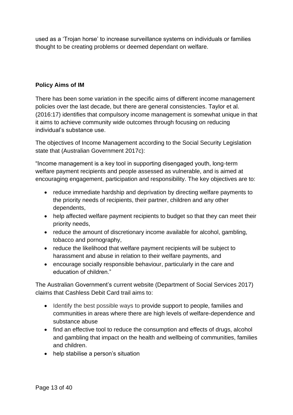used as a 'Trojan horse' to increase surveillance systems on individuals or families thought to be creating problems or deemed dependant on welfare.

#### **Policy Aims of IM**

There has been some variation in the specific aims of different income management policies over the last decade, but there are general consistencies. Taylor et al. (2016:17) identifies that compulsory income management is somewhat unique in that it aims to achieve community wide outcomes through focusing on reducing individual's substance use.

The objectives of Income Management according to the Social Security Legislation state that (Australian Government 2017c):

"Income management is a key tool in supporting disengaged youth, long-term welfare payment recipients and people assessed as vulnerable, and is aimed at encouraging engagement, participation and responsibility. The key objectives are to:

- reduce immediate hardship and deprivation by directing welfare payments to the priority needs of recipients, their partner, children and any other dependents,
- help affected welfare payment recipients to budget so that they can meet their priority needs,
- reduce the amount of discretionary income available for alcohol, gambling, tobacco and pornography,
- reduce the likelihood that welfare payment recipients will be subject to harassment and abuse in relation to their welfare payments, and
- encourage socially responsible behaviour, particularly in the care and education of children."

The Australian Government's current website (Department of Social Services 2017) claims that Cashless Debit Card trail aims to:

- Identify the best possible ways to provide support to people, families and communities in areas where there are high levels of welfare-dependence and substance abuse
- find an effective tool to reduce the consumption and effects of drugs, alcohol and gambling that impact on the health and wellbeing of communities, families and children.
- help stabilise a person's situation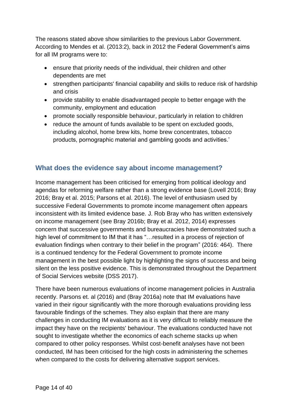The reasons stated above show similarities to the previous Labor Government. According to Mendes et al. (2013:2), back in 2012 the Federal Government's aims for all IM programs were to:

- ensure that priority needs of the individual, their children and other dependents are met
- strengthen participants' financial capability and skills to reduce risk of hardship and crisis
- provide stability to enable disadvantaged people to better engage with the community, employment and education
- promote socially responsible behaviour, particularly in relation to children
- reduce the amount of funds available to be spent on excluded goods, including alcohol, home brew kits, home brew concentrates, tobacco products, pornographic material and gambling goods and activities.'

#### <span id="page-13-0"></span>**What does the evidence say about income management?**

Income management has been criticised for emerging from political ideology and agendas for reforming welfare rather than a strong evidence base (Lovell 2016; Bray 2016; Bray et al. 2015; Parsons et al. 2016). The level of enthusiasm used by successive Federal Governments to promote income management often appears inconsistent with its limited evidence base. J. Rob Bray who has written extensively on income management (see Bray 2016b; Bray et al. 2012, 2014) expresses concern that successive governments and bureaucracies have demonstrated such a high level of commitment to IM that it has "…resulted in a process of rejection of evaluation findings when contrary to their belief in the program" (2016: 464). There is a continued tendency for the Federal Government to promote income management in the best possible light by highlighting the signs of success and being silent on the less positive evidence. This is demonstrated throughout the Department of Social Services website (DSS 2017).

There have been numerous evaluations of income management policies in Australia recently. Parsons et. al (2016) and (Bray 2016a) note that IM evaluations have varied in their rigour significantly with the more thorough evaluations providing less favourable findings of the schemes. They also explain that there are many challenges in conducting IM evaluations as it is very difficult to reliably measure the impact they have on the recipients' behaviour. The evaluations conducted have not sought to investigate whether the economics of each scheme stacks up when compared to other policy responses. Whilst cost-benefit analyses have not been conducted, IM has been criticised for the high costs in administering the schemes when compared to the costs for delivering alternative support services.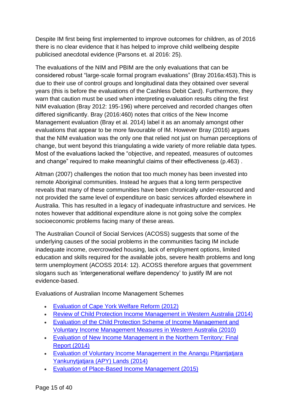Despite IM first being first implemented to improve outcomes for children, as of 2016 there is no clear evidence that it has helped to improve child wellbeing despite publicised anecdotal evidence (Parsons et. al 2016: 25).

The evaluations of the NIM and PBIM are the only evaluations that can be considered robust "large‑scale formal program evaluations" (Bray 2016a:453).This is due to their use of control groups and longitudinal data they obtained over several years (this is before the evaluations of the Cashless Debit Card). Furthermore, they warn that caution must be used when interpreting evaluation results citing the first NIM evaluation (Bray 2012: 195-196) where perceived and recorded changes often differed significantly. Bray (2016:460) notes that critics of the New Income Management evaluation (Bray et al. 2014) label it as an anomaly amongst other evaluations that appear to be more favourable of IM. However Bray (2016) argues that the NIM evaluation was the only one that relied not just on human perceptions of change, but went beyond this triangulating a wide variety of more reliable data types. Most of the evaluations lacked the "objective, and repeated, measures of outcomes and change" required to make meaningful claims of their effectiveness (p.463) .

Altman (2007) challenges the notion that too much money has been invested into remote Aboriginal communities. Instead he argues that a long term perspective reveals that many of these communities have been chronically under-resourced and not provided the same level of expenditure on basic services afforded elsewhere in Australia. This has resulted in a legacy of inadequate infrastructure and services. He notes however that additional expenditure alone is not going solve the complex socioeconomic problems facing many of these areas.

The Australian Council of Social Services (ACOSS) suggests that some of the underlying causes of the social problems in the communities facing IM include inadequate income, overcrowded housing, lack of employment options, limited education and skills required for the available jobs, severe health problems and long term unemployment (ACOSS 2014: 12). ACOSS therefore argues that government slogans such as 'intergenerational welfare dependency' to justify IM are not evidence-based.

Evaluations of Australian Income Management Schemes

- [Evaluation of Cape York Welfare Reform](https://www.dss.gov.au/families-and-children/programs-services/welfare-quarantining/income-management/evaluation-of-cape-york-welfare-reform) (2012)
- [Review of Child Protection Income Management in Western Australia](https://www.dss.gov.au/our-responsibilities/families-and-children/programs-services/income-management/a-review-of-child-protection-income-management-in-western-australia) (2014)
- [Evaluation of the Child Protection Scheme of Income Management and](https://www.dss.gov.au/our-responsibilities/families-and-children/publications-articles/evaluation-of-the-child-protection-scheme-of-income-management-and-voluntary-income-management-measures-in-western-australia)  [Voluntary Income Management Measures in Western Australia](https://www.dss.gov.au/our-responsibilities/families-and-children/publications-articles/evaluation-of-the-child-protection-scheme-of-income-management-and-voluntary-income-management-measures-in-western-australia) (2010)
- [Evaluation of New Income Management in the Northern Territory:](https://www.dss.gov.au/families-and-children/programs-services/welfare-conditionality/income-management/income-management-evaluations/evaluation-of-new-income-management-in-the-northern-territory) Final Report (2014)
- [Evaluation of Voluntary Income Management in the Anangu Pitjantjatjara](https://www.dss.gov.au/sites/default/files/documents/09_2014/voluntary_income_management_in_the_apy_lands_final_report_2014.pdf)  [Yankunytjatjara \(APY\) Lands](https://www.dss.gov.au/sites/default/files/documents/09_2014/voluntary_income_management_in_the_apy_lands_final_report_2014.pdf) (2014)
- [Evaluation of Place-Based Income Management](https://www.dss.gov.au/families-and-children/programmes-services/welfare-conditionality/income-management/consolidated-place-based-income-management-evaluation-report-2012-2015) (2015)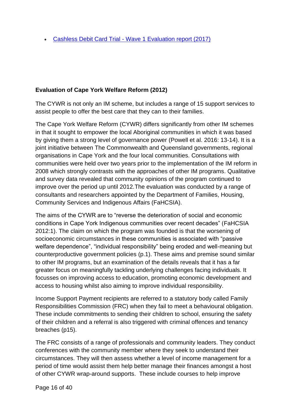• Cashless Debit Card Trial - [Wave 1 Evaluation report \(2017\)](https://www.dss.gov.au/families-and-children/programs-services/welfare-conditionality/cashless-debit-card-trial-wave-1-evaluation-report)

#### <span id="page-15-0"></span>**Evaluation of Cape York Welfare Reform (2012)**

The CYWR is not only an IM scheme, but includes a range of 15 support services to assist people to offer the best care that they can to their families.

The Cape York Welfare Reform (CYWR) differs significantly from other IM schemes in that it sought to empower the local Aboriginal communities in which it was based by giving them a strong level of governance power (Powell et al. 2016: 13-14). It is a joint initiative between The Commonwealth and Queensland governments, regional organisations in Cape York and the four local communities. Consultations with communities were held over two years prior to the implementation of the IM reform in 2008 which strongly contrasts with the approaches of other IM programs. Qualitative and survey data revealed that community opinions of the program continued to improve over the period up until 2012.The evaluation was conducted by a range of consultants and researchers appointed by the Department of Families, Housing, Community Services and Indigenous Affairs (FaHCSIA).

The aims of the CYWR are to "reverse the deterioration of social and economic conditions in Cape York Indigenous communities over recent decades" (FaHCSIA 2012:1). The claim on which the program was founded is that the worsening of socioeconomic circumstances in these communities is associated with "passive welfare dependence", "individual responsibility" being eroded and well-meaning but counterproductive government policies (p.1). These aims and premise sound similar to other IM programs, but an examination of the details reveals that it has a far greater focus on meaningfully tackling underlying challenges facing individuals. It focusses on improving access to education, promoting economic development and access to housing whilst also aiming to improve individual responsibility.

Income Support Payment recipients are referred to a statutory body called Family Responsibilities Commission (FRC) when they fail to meet a behavioural obligation. These include commitments to sending their children to school, ensuring the safety of their children and a referral is also triggered with criminal offences and tenancy breaches (p15).

The FRC consists of a range of professionals and community leaders. They conduct conferences with the community member where they seek to understand their circumstances. They will then assess whether a level of income management for a period of time would assist them help better manage their finances amongst a host of other CYWR wrap-around supports. These include courses to help improve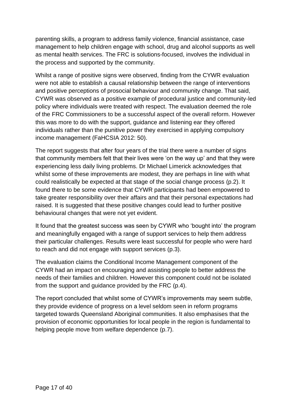parenting skills, a program to address family violence, financial assistance, case management to help children engage with school, drug and alcohol supports as well as mental health services. The FRC is solutions-focused, involves the individual in the process and supported by the community.

Whilst a range of positive signs were observed, finding from the CYWR evaluation were not able to establish a causal relationship between the range of interventions and positive perceptions of prosocial behaviour and community change. That said, CYWR was observed as a positive example of procedural justice and community-led policy where individuals were treated with respect. The evaluation deemed the role of the FRC Commissioners to be a successful aspect of the overall reform. However this was more to do with the support, guidance and listening ear they offered individuals rather than the punitive power they exercised in applying compulsory income management (FaHCSIA 2012: 50).

The report suggests that after four years of the trial there were a number of signs that community members felt that their lives were 'on the way up' and that they were experiencing less daily living problems. Dr Michael Limerick acknowledges that whilst some of these improvements are modest, they are perhaps in line with what could realistically be expected at that stage of the social change process (p.2). It found there to be some evidence that CYWR participants had been empowered to take greater responsibility over their affairs and that their personal expectations had raised. It is suggested that these positive changes could lead to further positive behavioural changes that were not yet evident.

It found that the greatest success was seen by CYWR who 'bought into' the program and meaningfully engaged with a range of support services to help them address their particular challenges. Results were least successful for people who were hard to reach and did not engage with support services (p.3).

The evaluation claims the Conditional Income Management component of the CYWR had an impact on encouraging and assisting people to better address the needs of their families and children. However this component could not be isolated from the support and guidance provided by the FRC (p.4).

The report concluded that whilst some of CYWR's improvements may seem subtle, they provide evidence of progress on a level seldom seen in reform programs targeted towards Queensland Aboriginal communities. It also emphasises that the provision of economic opportunities for local people in the region is fundamental to helping people move from welfare dependence (p.7).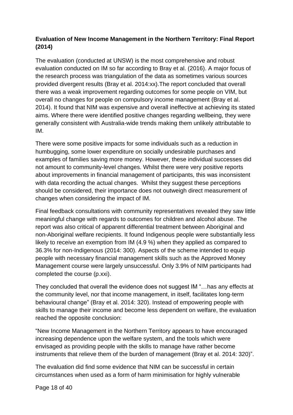#### <span id="page-17-0"></span>**Evaluation of New Income Management in the Northern Territory: Final Report (2014)**

The evaluation (conducted at UNSW) is the most comprehensive and robust evaluation conducted on IM so far according to Bray et al. (2016). A major focus of the research process was triangulation of the data as sometimes various sources provided divergent results (Bray et al. 2014:xx).The report concluded that overall there was a weak improvement regarding outcomes for some people on VIM, but overall no changes for people on compulsory income management (Bray et al. 2014). It found that NIM was expensive and overall ineffective at achieving its stated aims. Where there were identified positive changes regarding wellbeing, they were generally consistent with Australia-wide trends making them unlikely attributable to IM.

There were some positive impacts for some individuals such as a reduction in humbugging, some lower expenditure on socially undesirable purchases and examples of families saving more money. However, these individual successes did not amount to community-level changes. Whilst there were very positive reports about improvements in financial management of participants, this was inconsistent with data recording the actual changes. Whilst they suggest these perceptions should be considered, their importance does not outweigh direct measurement of changes when considering the impact of IM.

Final feedback consultations with community representatives revealed they saw little meaningful change with regards to outcomes for children and alcohol abuse. The report was also critical of apparent differential treatment between Aboriginal and non-Aboriginal welfare recipients. It found Indigenous people were substantially less likely to receive an exemption from IM (4.9 %) when they applied as compared to 36.3% for non-Indigenous (2014: 300). Aspects of the scheme intended to equip people with necessary financial management skills such as the Approved Money Management course were largely unsuccessful. Only 3.9% of NIM participants had completed the course (p.xxi).

They concluded that overall the evidence does not suggest IM "…has any effects at the community level, nor that income management, in itself, facilitates long-term behavioural change" (Bray et al. 2014: 320). Instead of empowering people with skills to manage their income and become less dependent on welfare, the evaluation reached the opposite conclusion:

"New Income Management in the Northern Territory appears to have encouraged increasing dependence upon the welfare system, and the tools which were envisaged as providing people with the skills to manage have rather become instruments that relieve them of the burden of management (Bray et al. 2014: 320)".

The evaluation did find some evidence that NIM can be successful in certain circumstances when used as a form of harm minimisation for highly vulnerable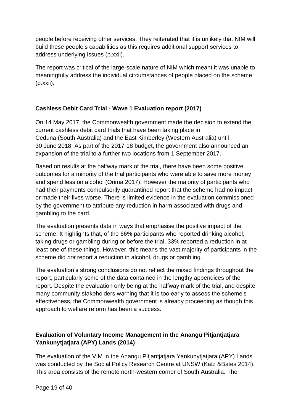people before receiving other services. They reiterated that it is unlikely that NIM will build these people's capabilities as this requires additional support services to address underlying issues (p.xxii).

The report was critical of the large-scale nature of NIM which meant it was unable to meaningfully address the individual circumstances of people placed on the scheme (p.xxii).

#### <span id="page-18-0"></span>**Cashless Debit Card Trial - Wave 1 Evaluation report (2017)**

On 14 May 2017, the Commonwealth government made the decision to extend the current cashless debit card trials that have been taking place in Ceduna (South Australia) and the East Kimberley (Western Australia) until 30 June 2018. As part of the 2017-18 budget, the government also announced an expansion of the trial to a further two locations from 1 September 2017.

Based on results at the halfway mark of the trial, there have been some positive outcomes for a minority of the trial participants who were able to save more money and spend less on alcohol (Orima 2017). However the majority of participants who had their payments compulsorily quarantined report that the scheme had no impact or made their lives worse. There is limited evidence in the evaluation commissioned by the government to attribute any reduction in harm associated with drugs and gambling to the card.

The evaluation presents data in ways that emphasise the positive impact of the scheme. It highlights that, of the 66% participants who reported drinking alcohol, taking drugs or gambling during or before the trial, 33% reported a reduction in at least one of these things. However, this means the vast majority of participants in the scheme did *not* report a reduction in alcohol, drugs or gambling.

The evaluation's strong conclusions do not reflect the mixed findings throughout the report, particularly some of the data contained in the lengthy appendices of the report. Despite the evaluation only being at the halfway mark of the trial, and despite many community stakeholders warning that it is too early to assess the scheme's effectiveness, the Commonwealth government is already proceeding as though this approach to welfare reform has been a success.

#### <span id="page-18-1"></span>**Evaluation of Voluntary Income Management in the Anangu Pitjantjatjara Yankunytjatjara (APY) Lands (2014)**

The evaluation of the VIM in the Anangu Pitjantjatjara Yankunytjatjara (APY) Lands was conducted by the Social Policy Research Centre at UNSW (Katz &Bates 2014). This area consists of the remote north-western corner of South Australia. The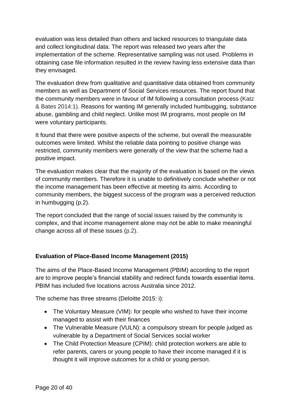evaluation was less detailed than others and lacked resources to triangulate data and collect longitudinal data. The report was released two years after the implementation of the scheme. Representative sampling was not used. Problems in obtaining case file information resulted in the review having less extensive data than they envisaged.

The evaluation drew from qualitative and quantitative data obtained from community members as well as Department of Social Services resources. The report found that the community members were in favour of IM following a consultation process (Katz & Bates 2014:1). Reasons for wanting IM generally included humbugging, substance abuse, gambling and child neglect. Unlike most IM programs, most people on IM were voluntary participants.

It found that there were positive aspects of the scheme, but overall the measurable outcomes were limited. Whilst the reliable data pointing to positive change was restricted, community members were generally of the view that the scheme had a positive impact.

The evaluation makes clear that the majority of the evaluation is based on the views of community members. Therefore it is unable to definitively conclude whether or not the income management has been effective at meeting its aims. According to community members, the biggest success of the program was a perceived reduction in humbugging (p.2).

The report concluded that the range of social issues raised by the community is complex, and that income management alone may not be able to make meaningful change across all of these issues (p.2).

#### <span id="page-19-0"></span>**Evaluation of Place-Based Income Management (2015)**

The aims of the Place-Based Income Management (PBIM) according to the report are to improve people's financial stability and redirect funds towards essential items. PBIM has included five locations across Australia since 2012.

The scheme has three streams (Deloitte 2015: i):

- The Voluntary Measure (VIM): for people who wished to have their income managed to assist with their finances
- The Vulnerable Measure (VULN): a compulsory stream for people judged as vulnerable by a Department of Social Services social worker
- The Child Protection Measure (CPIM): child protection workers are able to refer parents, carers or young people to have their income managed if it is thought it will improve outcomes for a child or young person.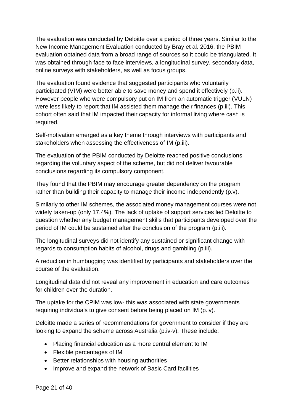The evaluation was conducted by Deloitte over a period of three years. Similar to the New Income Management Evaluation conducted by Bray et al. 2016, the PBIM evaluation obtained data from a broad range of sources so it could be triangulated. It was obtained through face to face interviews, a longitudinal survey, secondary data, online surveys with stakeholders, as well as focus groups.

The evaluation found evidence that suggested participants who voluntarily participated (VIM) were better able to save money and spend it effectively (p.ii). However people who were compulsory put on IM from an automatic trigger (VULN) were less likely to report that IM assisted them manage their finances (p.iii). This cohort often said that IM impacted their capacity for informal living where cash is required.

Self-motivation emerged as a key theme through interviews with participants and stakeholders when assessing the effectiveness of IM (p.iii).

The evaluation of the PBIM conducted by Deloitte reached positive conclusions regarding the voluntary aspect of the scheme, but did not deliver favourable conclusions regarding its compulsory component.

They found that the PBIM may encourage greater dependency on the program rather than building their capacity to manage their income independently (p.v).

Similarly to other IM schemes, the associated money management courses were not widely taken-up (only 17.4%). The lack of uptake of support services led Deloitte to question whether any budget management skills that participants developed over the period of IM could be sustained after the conclusion of the program (p.iii).

The longitudinal surveys did not identify any sustained or significant change with regards to consumption habits of alcohol, drugs and gambling (p.iii).

A reduction in humbugging was identified by participants and stakeholders over the course of the evaluation.

Longitudinal data did not reveal any improvement in education and care outcomes for children over the duration.

The uptake for the CPIM was low- this was associated with state governments requiring individuals to give consent before being placed on IM (p.iv).

Deloitte made a series of recommendations for government to consider if they are looking to expand the scheme across Australia (p.iv-v). These include:

- Placing financial education as a more central element to IM
- Flexible percentages of IM
- Better relationships with housing authorities
- Improve and expand the network of Basic Card facilities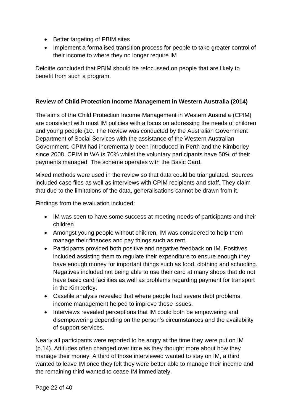- Better targeting of PBIM sites
- Implement a formalised transition process for people to take greater control of their income to where they no longer require IM

Deloitte concluded that PBIM should be refocussed on people that are likely to benefit from such a program.

#### <span id="page-21-0"></span>**Review of Child Protection Income Management in Western Australia (2014)**

The aims of the Child Protection Income Management in Western Australia (CPIM) are consistent with most IM policies with a focus on addressing the needs of children and young people (10. The Review was conducted by the Australian Government Department of Social Services with the assistance of the Western Australian Government. CPIM had incrementally been introduced in Perth and the Kimberley since 2008. CPIM in WA is 70% whilst the voluntary participants have 50% of their payments managed. The scheme operates with the Basic Card.

Mixed methods were used in the review so that data could be triangulated. Sources included case files as well as interviews with CPIM recipients and staff. They claim that due to the limitations of the data, generalisations cannot be drawn from it.

Findings from the evaluation included:

- IM was seen to have some success at meeting needs of participants and their children
- Amongst young people without children, IM was considered to help them manage their finances and pay things such as rent.
- Participants provided both positive and negative feedback on IM. Positives included assisting them to regulate their expenditure to ensure enough they have enough money for important things such as food, clothing and schooling. Negatives included not being able to use their card at many shops that do not have basic card facilities as well as problems regarding payment for transport in the Kimberley.
- Casefile analysis revealed that where people had severe debt problems, income management helped to improve these issues.
- Interviews revealed perceptions that IM could both be empowering and disempowering depending on the person's circumstances and the availability of support services.

Nearly all participants were reported to be angry at the time they were put on IM (p.14). Attitudes often changed over time as they thought more about how they manage their money. A third of those interviewed wanted to stay on IM, a third wanted to leave IM once they felt they were better able to manage their income and the remaining third wanted to cease IM immediately.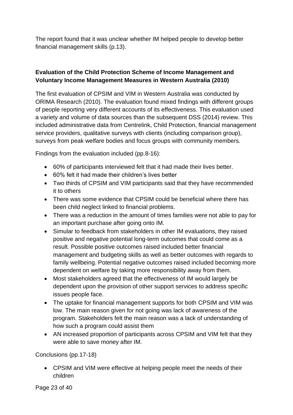The report found that it was unclear whether IM helped people to develop better financial management skills (p.13).

#### <span id="page-22-0"></span>**Evaluation of the Child Protection Scheme of Income Management and Voluntary Income Management Measures in Western Australia (2010)**

The first evaluation of CPSIM and VIM in Western Australia was conducted by ORIMA Research (2010). The evaluation found mixed findings with different groups of people reporting very different accounts of its effectiveness. This evaluation used a variety and volume of data sources than the subsequent DSS (2014) review. This included administrative data from Centrelink, Child Protection, financial management service providers, qualitative surveys with clients (including comparison group), surveys from peak welfare bodies and focus groups with community members.

Findings from the evaluation included (pp.8-16):

- 60% of participants interviewed felt that it had made their lives better.
- 60% felt it had made their children's lives better
- Two thirds of CPSIM and VIM participants said that they have recommended it to others
- There was some evidence that CPSIM could be beneficial where there has been child neglect linked to financial problems.
- There was a reduction in the amount of times families were not able to pay for an important purchase after going onto IM.
- Simular to feedback from stakeholders in other IM evaluations, they raised positive and negative potential long-term outcomes that could come as a result. Possible positive outcomes raised included better financial management and budgeting skills as well as better outcomes with regards to family wellbeing. Potential negative outcomes raised included becoming more dependent on welfare by taking more responsibility away from them.
- Most stakeholders agreed that the effectiveness of IM would largely be dependent upon the provision of other support services to address specific issues people face.
- The uptake for financial management supports for both CPSIM and VIM was low. The main reason given for not going was lack of awareness of the program. Stakeholders felt the main reason was a lack of understanding of how such a program could assist them
- AN increased proportion of participants across CPSIM and VIM felt that they were able to save money after IM.

Conclusions (pp.17-18)

• CPSIM and VIM were effective at helping people meet the needs of their children

Page 23 of 40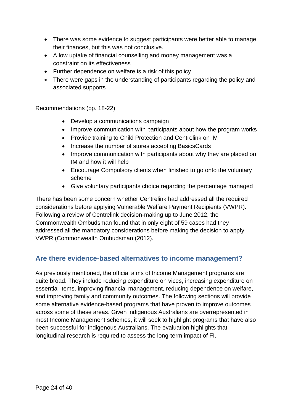- There was some evidence to suggest participants were better able to manage their finances, but this was not conclusive.
- A low uptake of financial counselling and money management was a constraint on its effectiveness
- Further dependence on welfare is a risk of this policy
- There were gaps in the understanding of participants regarding the policy and associated supports

Recommendations (pp. 18-22)

- Develop a communications campaign
- Improve communication with participants about how the program works
- Provide training to Child Protection and Centrelink on IM
- Increase the number of stores accepting BasicsCards
- Improve communication with participants about why they are placed on IM and how it will help
- Encourage Compulsory clients when finished to go onto the voluntary scheme
- Give voluntary participants choice regarding the percentage managed

There has been some concern whether Centrelink had addressed all the required considerations before applying Vulnerable Welfare Payment Recipients (VWPR). Following a review of Centrelink decision‑making up to June 2012, the Commonwealth Ombudsman found that in only eight of 59 cases had they addressed all the mandatory considerations before making the decision to apply VWPR (Commonwealth Ombudsman (2012).

#### <span id="page-23-0"></span>**Are there evidence-based alternatives to income management?**

As previously mentioned, the official aims of Income Management programs are quite broad. They include reducing expenditure on vices, increasing expenditure on essential items, improving financial management, reducing dependence on welfare, and improving family and community outcomes. The following sections will provide some alternative evidence-based programs that have proven to improve outcomes across some of these areas. Given indigenous Australians are overrepresented in most Income Management schemes, it will seek to highlight programs that have also been successful for indigenous Australians. The evaluation highlights that longitudinal research is required to assess the long-term impact of FI.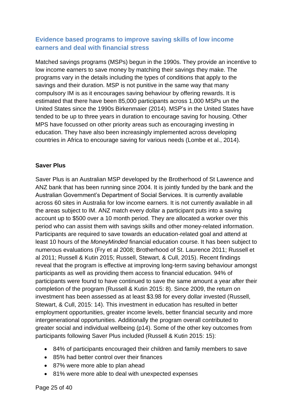#### <span id="page-24-0"></span>**Evidence based programs to improve saving skills of low income earners and deal with financial stress**

Matched savings programs (MSPs) begun in the 1990s. They provide an incentive to low income earners to save money by matching their savings they make. The programs vary in the details including the types of conditions that apply to the savings and their duration. MSP is not punitive in the same way that many compulsory IM is as it encourages saving behaviour by offering rewards. It is estimated that there have been 85,000 participants across 1,000 MSPs un the United States since the 1990s Birkenmaier (2014). MSP's in the United States have tended to be up to three years in duration to encourage saving for housing. Other MPS have focussed on other priority areas such as encouraging investing in education. They have also been increasingly implemented across developing countries in Africa to encourage saving for various needs (Lombe et al., 2014).

#### <span id="page-24-1"></span>**Saver Plus**

Saver Plus is an Australian MSP developed by the Brotherhood of St Lawrence and ANZ bank that has been running since 2004. It is jointly funded by the bank and the Australian Government's Department of Social Services. It is currently available across 60 sites in Australia for low income earners. It is not currently available in all the areas subject to IM. ANZ match every dollar a participant puts into a saving account up to \$500 over a 10 month period. They are allocated a worker over this period who can assist them with savings skills and other money-related information. Participants are required to save towards an education-related goal and attend at least 10 hours of the *MoneyMinded* financial education course. It has been subject to numerous evaluations (Fry et al 2008; Brotherhood of St. Laurence 2011; Russell et al 2011; Russell & Kutin 2015; Russell, Stewart, & Cull, 2015). Recent findings reveal that the program is effective at improving long-term saving behaviour amongst participants as well as providing them access to financial education. 94% of participants were found to have continued to save the same amount a year after their completion of the program (Russell & Kutin 2015: 8). Since 2009, the return on investment has been assessed as at least \$3.98 for every dollar invested (Russell, Stewart, & Cull, 2015: 14). This investment in education has resulted in better employment opportunities, greater income levels, better financial security and more intergenerational opportunities. Additionally the program overall contributed to greater social and individual wellbeing (p14). Some of the other key outcomes from participants following Saver Plus included (Russell & Kutin 2015: 15):

- 84% of participants encouraged their children and family members to save
- 85% had better control over their finances
- 87% were more able to plan ahead
- 81% were more able to deal with unexpected expenses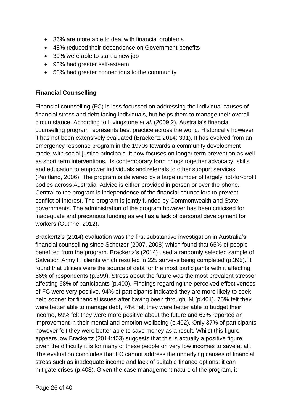- 86% are more able to deal with financial problems
- 48% reduced their dependence on Government benefits
- 39% were able to start a new job
- 93% had greater self-esteem
- 58% had greater connections to the community

#### **Financial Counselling**

Financial counselling (FC) is less focussed on addressing the individual causes of financial stress and debt facing individuals, but helps them to manage their overall circumstance. According to Livingstone *et al*. (2009:2), Australia's financial counselling program represents best practice across the world. Historically however it has not been extensively evaluated [\(Brackertz](https://www-cambridge-org.ezp.lib.unimelb.edu.au/core/search?filters%5BauthorTerms%5D=Nicola%20Brackertz&eventCode=SE-AU) 2014: 391). It has evolved from an emergency response program in the 1970s towards a community development model with social justice principals. It now focuses on longer term prevention as well as short term interventions. Its contemporary form brings together advocacy, skills and education to empower individuals and referrals to other support services (Pentland, 2006). The program is delivered by a large number of largely not-for-profit bodies across Australia. Advice is either provided in person or over the phone. Central to the program is independence of the financial counsellors to prevent conflict of interest. The program is jointly funded by Commonwealth and State governments. The administration of the program however has been criticised for inadequate and precarious funding as well as a lack of personal development for workers (Guthrie, 2012).

[Brackertz'](https://www-cambridge-org.ezp.lib.unimelb.edu.au/core/search?filters%5BauthorTerms%5D=Nicola%20Brackertz&eventCode=SE-AU)s (2014) evaluation was the first substantive investigation in Australia's financial counselling since Schetzer (2007, 2008) which found that 65% of people benefited from the program. [Brackertz'](https://www-cambridge-org.ezp.lib.unimelb.edu.au/core/search?filters%5BauthorTerms%5D=Nicola%20Brackertz&eventCode=SE-AU)s (2014) used a randomly selected sample of Salvation Army FI clients which resulted in 225 surveys being completed (p.395). It found that utilities were the source of debt for the most participants with it affecting 56% of respondents (p.399). Stress about the future was the most prevalent stressor affecting 68% of participants (p.400). Findings regarding the perceived effectiveness of FC were very positive. 94% of participants indicated they are more likely to seek help sooner for financial issues after having been through IM (p.401). 75% felt they were better able to manage debt, 74% felt they were better able to budget their income, 69% felt they were more positive about the future and 63% reported an improvement in their mental and emotion wellbeing (p.402). Only 37% of participants however felt they were better able to save money as a result. Whilst this figure appears low [Brackertz](https://www-cambridge-org.ezp.lib.unimelb.edu.au/core/search?filters%5BauthorTerms%5D=Nicola%20Brackertz&eventCode=SE-AU) (2014:403) suggests that this is actually a positive figure given the difficulty it is for many of these people on very low incomes to save at all. The evaluation concludes that FC cannot address the underlying causes of financial stress such as inadequate income and lack of suitable finance options; it can mitigate crises (p.403). Given the case management nature of the program, it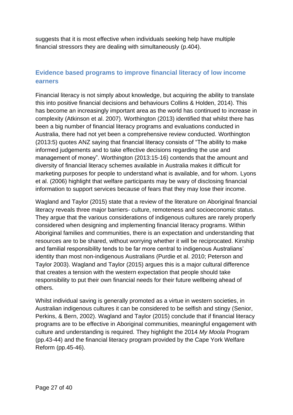suggests that it is most effective when individuals seeking help have multiple financial stressors they are dealing with simultaneously (p.404).

#### <span id="page-26-0"></span>**Evidence based programs to improve financial literacy of low income earners**

Financial literacy is not simply about knowledge, but acquiring the ability to translate this into positive financial decisions and behaviours Collins & Holden, 2014). This has become an increasingly important area as the world has continued to increase in complexity (Atkinson et al. 2007). Worthington (2013) identified that whilst there has been a big number of financial literacy programs and evaluations conducted in Australia, there had not yet been a comprehensive review conducted. Worthington (2013:5) quotes ANZ saying that financial literacy consists of "The ability to make informed judgements and to take effective decisions regarding the use and management of money". Worthington (2013:15-16) contends that the amount and diversity of financial literacy schemes available in Australia makes it difficult for marketing purposes for people to understand what is available, and for whom. Lyons et al. (2006) highlight that welfare participants may be wary of disclosing financial information to support services because of fears that they may lose their income.

Wagland and Taylor (2015) state that a review of the literature on Aboriginal financial literacy reveals three major barriers- culture, remoteness and socioeconomic status. They argue that the various considerations of indigenous cultures are rarely properly considered when designing and implementing financial literacy programs. Within Aboriginal families and communities, there is an expectation and understanding that resources are to be shared, without worrying whether it will be reciprocated. Kinship and familial responsibility tends to be far more central to indigenous Australians' identity than most non-indigenous Australians (Purdie et al. 2010; Peterson and Taylor 2003). Wagland and Taylor (2015) argues this is a major cultural difference that creates a tension with the western expectation that people should take responsibility to put their own financial needs for their future wellbeing ahead of others.

Whilst individual saving is generally promoted as a virtue in western societies, in Australian indigenous cultures it can be considered to be selfish and stingy (Senior, Perkins, & Bern, 2002). Wagland and Taylor (2015) conclude that if financial literacy programs are to be effective in Aboriginal communities, meaningful engagement with culture and understanding is required. They highlight the 2014 *My Moola* Program (pp.43-44) and the financial literacy program provided by the Cape York Welfare Reform (pp.45-46).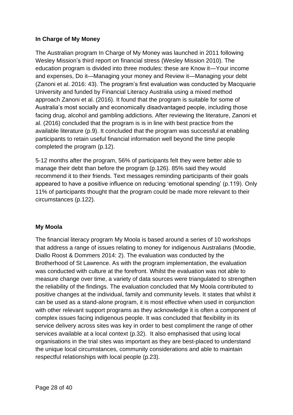#### <span id="page-27-0"></span>**In Charge of My Money**

The Australian program In Charge of My Money was launched in 2011 following Wesley Mission's third report on financial stress (Wesley Mission 2010). The education program is divided into three modules: these are Know it—Your income and expenses, Do it—Managing your money and Review it—Managing your debt (Zanoni et al. 2016: 43). The program's first evaluation was conducted by Macquarie University and funded by Financial Literacy Australia using a mixed method approach Zanoni et al. (2016). It found that the program is suitable for some of Australia's most socially and economically disadvantaged people, including those facing drug, alcohol and gambling addictions. After reviewing the literature, Zanoni et al. (2016) concluded that the program is is in line with best practice from the available literature (p.9). It concluded that the program was successful at enabling participants to retain useful financial information well beyond the time people completed the program (p.12).

5-12 months after the program, 56% of participants felt they were better able to manage their debt than before the program (p.126). 85% said they would recommend it to their friends. Text messages reminding participants of their goals appeared to have a positive influence on reducing 'emotional spending' (p.119). Only 11% of participants thought that the program could be made more relevant to their circumstances (p.122).

#### **My Moola**

The financial literacy program My Moola is based around a series of 10 workshops that address a range of issues relating to money for indigenous Australians (Moodie, Diallo Roost & Dommers 2014: 2). The evaluation was conducted by the Brotherhood of St Lawrence. As with the program implementation, the evaluation was conducted with culture at the forefront. Whilst the evaluation was not able to measure change over time, a variety of data sources were triangulated to strengthen the reliability of the findings. The evaluation concluded that My Moola contributed to positive changes at the individual, family and community levels. It states that whilst it can be used as a stand-alone program, it is most effective when used in conjunction with other relevant support programs as they acknowledge it is often a component of complex issues facing indigenous people. It was concluded that flexibility in its service delivery across sites was key in order to best compliment the range of other services available at a local context (p.32). It also emphasised that using local organisations in the trial sites was important as they are best-placed to understand the unique local circumstances, community considerations and able to maintain respectful relationships with local people (p.23).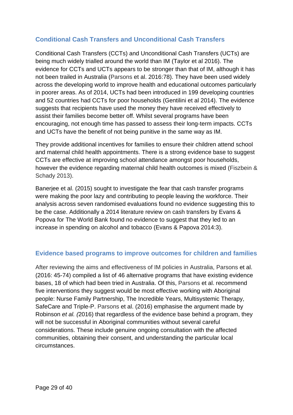#### <span id="page-28-0"></span>**Conditional Cash Transfers and Unconditional Cash Transfers**

Conditional Cash Transfers (CCTs) and Unconditional Cash Transfers (UCTs) are being much widely trialled around the world than IM (Taylor et al 2016). The evidence for CCTs and UCTs appears to be stronger than that of IM, although it has not been trailed in Australia (Parsons et al. 2016:78). They have been used widely across the developing world to improve health and educational outcomes particularly in poorer areas. As of 2014, UCTs had been introduced in 199 developing countries and 52 countries had CCTs for poor households (Gentilini et al 2014). The evidence suggests that recipients have used the money they have received effectively to assist their families become better off. Whilst several programs have been encouraging, not enough time has passed to assess their long-term impacts. CCTs and UCTs have the benefit of not being punitive in the same way as IM.

They provide additional incentives for families to ensure their children attend school and maternal child health appointments. There is a strong evidence base to suggest CCTs are effective at improving school attendance amongst poor households, however the evidence regarding maternal child health outcomes is mixed (Fiszbein & Schady 2013).

Banerjee et al. (2015) sought to investigate the fear that cash transfer programs were making the poor lazy and contributing to people leaving the workforce. Their analysis across seven randomised evaluations found no evidence suggesting this to be the case. Additionally a 2014 literature review on cash transfers by Evans & Popova for The World Bank found no evidence to suggest that they led to an increase in spending on alcohol and tobacco (Evans & Papova 2014:3).

#### <span id="page-28-1"></span>**Evidence based programs to improve outcomes for children and families**

After reviewing the aims and effectiveness of IM policies in Australia, Parsons et al. (2016: 45-74) compiled a list of 46 alternative programs that have existing evidence bases, 18 of which had been tried in Australia. Of this, Parsons et al. recommend five interventions they suggest would be most effective working with Aboriginal people: Nurse Family Partnership, The Incredible Years, Multisystemic Therapy, SafeCare and Triple-P. Parsons et al. (2016) emphasise the argument made by Robinson *et al. (*2016) that regardless of the evidence base behind a program, they will not be successful in Aboriginal communities without several careful considerations. These include genuine ongoing consultation with the affected communities, obtaining their consent, and understanding the particular local circumstances.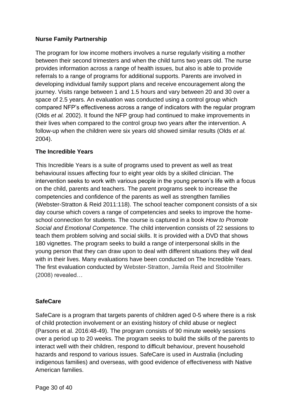#### <span id="page-29-0"></span>**Nurse Family Partnership**

The program for low income mothers involves a nurse regularly visiting a mother between their second trimesters and when the child turns two years old. The nurse provides information across a range of health issues, but also is able to provide referrals to a range of programs for additional supports. Parents are involved in developing individual family support plans and receive encouragement along the journey. Visits range between 1 and 1.5 hours and vary between 20 and 30 over a space of 2.5 years. An evaluation was conducted using a control group which compared NFP's effectiveness across a range of indicators with the regular program (Olds *et al.* 2002). It found the NFP group had continued to make improvements in their lives when compared to the control group two years after the intervention. A follow-up when the children were six years old showed similar results (Olds *et al.*  2004).

#### <span id="page-29-1"></span>**The Incredible Years**

This Incredible Years is a suite of programs used to prevent as well as treat behavioural issues affecting four to eight year olds by a skilled clinician. The intervention seeks to work with various people in the young person's life with a focus on the child, parents and teachers. The parent programs seek to increase the competencies and confidence of the parents as well as strengthen families (Webster-Stratton & Reid 2011:118). The school teacher component consists of a six day course which covers a range of competencies and seeks to improve the homeschool connection for students. The course is captured in a book *How to Promote Social and Emotional Competence*. The child intervention consists of 22 sessions to teach them problem solving and social skills. It is provided with a DVD that shows 180 vignettes. The program seeks to build a range of interpersonal skills in the young person that they can draw upon to deal with different situations they will deal with in their lives. Many evaluations have been conducted on The Incredible Years. The first evaluation conducted by Webster‑Stratton, Jamila Reid and Stoolmiller (2008) revealed…

#### <span id="page-29-2"></span>**SafeCare**

SafeCare is a program that targets parents of children aged 0-5 where there is a risk of child protection involvement or an existing history of child abuse or neglect (Parsons et al. 2016:48-49). The program consists of 90 minute weekly sessions over a period up to 20 weeks. The program seeks to build the skills of the parents to interact well with their children, respond to difficult behaviour, prevent household hazards and respond to various issues. SafeCare is used in Australia (including indigenous families) and overseas, with good evidence of effectiveness with Native American families.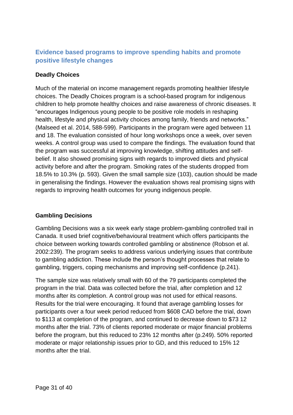#### <span id="page-30-0"></span>**Evidence based programs to improve spending habits and promote positive lifestyle changes**

#### <span id="page-30-1"></span>**Deadly Choices**

Much of the material on income management regards promoting healthier lifestyle choices. The Deadly Choices program is a school-based program for indigenous children to help promote healthy choices and raise awareness of chronic diseases. It "encourages Indigenous young people to be positive role models in reshaping health, lifestyle and physical activity choices among family, friends and networks." (Malseed et al. 2014, 588-599). Participants in the program were aged between 11 and 18. The evaluation consisted of hour long workshops once a week, over seven weeks. A control group was used to compare the findings. The evaluation found that the program was successful at improving knowledge, shifting attitudes and selfbelief. It also showed promising signs with regards to improved diets and physical activity before and after the program. Smoking rates of the students dropped from 18.5% to 10.3% (p. 593). Given the small sample size (103), caution should be made in generalising the findings. However the evaluation shows real promising signs with regards to improving health outcomes for young indigenous people.

#### **Gambling Decisions**

Gambling Decisions was a six week early stage problem-gambling controlled trail in Canada. It used brief cognitive/behavioural treatment which offers participants the choice between working towards controlled gambling or abstinence (Robson et al. 2002:239). The program seeks to address various underlying issues that contribute to gambling addiction. These include the person's thought processes that relate to gambling, triggers, coping mechanisms and improving self-confidence (p.241).

The sample size was relatively small with 60 of the 79 participants completed the program in the trial. Data was collected before the trial, after completion and 12 months after its completion. A control group was not used for ethical reasons. Results for the trial were encouraging. It found that average gambling losses for participants over a four week period reduced from \$608 CAD before the trial, down to \$113 at completion of the program, and continued to decrease down to \$73 12 months after the trial. 73% of clients reported moderate or major financial problems before the program, but this reduced to 23% 12 months after (p.249). 50% reported moderate or major relationship issues prior to GD, and this reduced to 15% 12 months after the trial.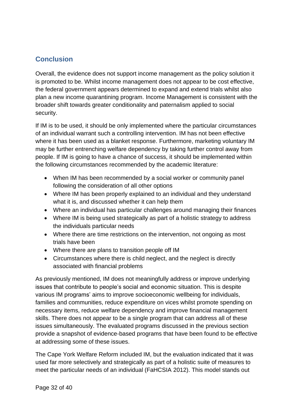#### <span id="page-31-0"></span>**Conclusion**

Overall, the evidence does not support income management as the policy solution it is promoted to be. Whilst income management does not appear to be cost effective, the federal government appears determined to expand and extend trials whilst also plan a new income quarantining program. Income Management is consistent with the broader shift towards greater conditionality and paternalism applied to social security.

If IM is to be used, it should be only implemented where the particular circumstances of an individual warrant such a controlling intervention. IM has not been effective where it has been used as a blanket response. Furthermore, marketing voluntary IM may be further entrenching welfare dependency by taking further control away from people. If IM is going to have a chance of success, it should be implemented within the following circumstances recommended by the academic literature:

- When IM has been recommended by a social worker or community panel following the consideration of all other options
- Where IM has been properly explained to an individual and they understand what it is, and discussed whether it can help them
- Where an individual has particular challenges around managing their finances
- Where IM is being used strategically as part of a holistic strategy to address the individuals particular needs
- Where there are time restrictions on the intervention, not ongoing as most trials have been
- Where there are plans to transition people off IM
- Circumstances where there is child neglect, and the neglect is directly associated with financial problems

As previously mentioned, IM does not meaningfully address or improve underlying issues that contribute to people's social and economic situation. This is despite various IM programs' aims to improve socioeconomic wellbeing for individuals, families and communities, reduce expenditure on vices whilst promote spending on necessary items, reduce welfare dependency and improve financial management skills. There does not appear to be a single program that can address all of these issues simultaneously. The evaluated programs discussed in the previous section provide a snapshot of evidence-based programs that have been found to be effective at addressing some of these issues.

The Cape York Welfare Reform included IM, but the evaluation indicated that it was used far more selectively and strategically as part of a holistic suite of measures to meet the particular needs of an individual (FaHCSIA 2012). This model stands out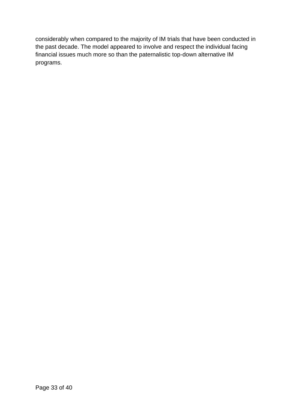considerably when compared to the majority of IM trials that have been conducted in the past decade. The model appeared to involve and respect the individual facing financial issues much more so than the paternalistic top-down alternative IM programs.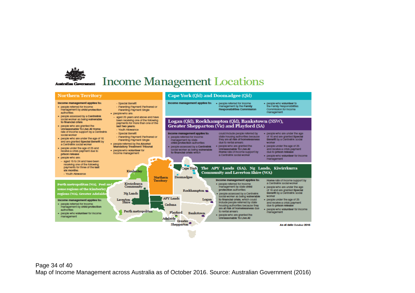

## **Income Management Locations**

#### **Northern Territory** Cape York (Old) and Doomadgee (Old) Income management applies to: Income management applies to: . . people referred for income · people who volunteer to Special Benefit management by the Family the Family Responsibilities · people referred for income Parenting Payment Partnered or Responsibilities Commission Commission for Income management by child protection Parenting Payment Single management suffronties. · peoplewho are: · people assessed by a Centrelink  $-$  aged 25 years and above and have social worker as being vulnerable been receiving one of the following Logan (Qld), Rockhampton (Qld), Bankstown (NSW), to financial crisis payments for more than one of the Greater Shepparton (Vic) and Playford (SA) · people who are granted the last two years-Unreasonable To Live At Home > Youth Allowance rate of income support by a Centrelink Income management applies to: Special Benefit could include people referred by · people who are under the age social worker Parenting Payment Partnered or · people referred for Income state housing authorities because of 16 and are granted Special · people who are under the age of 16 management by state they are at risk of homelessness. Benefit by a Centrelink social Parenting Payment Single and are granted Special Benefit by due to rental arrears child protection authorities worker · people referred by the Alcohol a Centrelink social worker . people who are granted the . people under the age of 25 **Mandatory Treatment Tribunal** . Decole assessed by a Centrelink · people under the age of 25 and social worker as being vulnerable **Unreasonable To I Ive At** and receive a crisis payment · peoplewho volunteer for receive a crisis payment due to to financial crisis which Home rate of income support by due to prison release Income management prison release a Centrelink social worker . people who volunteer for income . Deaple who aremanagement  $-$  aged 15 to 24 and have been receiving one of the following payments for three of the last Cape York The APY Lands (SA), Ng Lands, Kiwirrkurra oly months-Kimberley **Community and Laverton Shire (WA)** > Youth Allowance Doomadgee Northern Income management applies to: Territory Home rate of income support by Kiwirrkurra · people referred for income a Centrelink social worker Perth metropolitan (WA), Peel an Community management by state child . people who are under the age some regions of the Kimberle protection authorities Rockhampton ... of 16 and are granted Special regions (WA), Greater Adelaid Ng Lands · people assessed by a Centrelink Benefit by a Centrelink social worker social worker as being vulnerable **APY Lands** Logan to financial crisis, which could . people under the age of 25 Income management applies to: Laverton<br>Shire Include people referred by state and receive a crisis payment · people referred for income Ceduna housing authorities because they due to orison release management by child protection are at risk of homelessness due · people who volunteer for income authorities Perth metropolitan to rental arrears. Playford management · people who volunteer for income **Rankstown** · people who are granted the management Unreasonable To Live At Adelaide Greater Shepparton As at date October 2016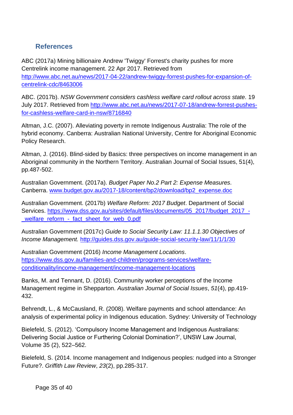#### <span id="page-34-0"></span>**References**

ABC (2017a) Mining billionaire Andrew 'Twiggy' Forrest's charity pushes for more Centrelink income management. 22 Apr 2017. Retrieved from [http://www.abc.net.au/news/2017-04-22/andrew-twiggy-forrest-pushes-for-expansion-of](http://www.abc.net.au/news/2017-04-22/andrew-twiggy-forrest-pushes-for-expansion-of-centrelink-cdc/8463006)[centrelink-cdc/8463006](http://www.abc.net.au/news/2017-04-22/andrew-twiggy-forrest-pushes-for-expansion-of-centrelink-cdc/8463006)

ABC. (2017b). *NSW Government considers cashless welfare card rollout across state.* 19 July 2017. Retrieved from [http://www.abc.net.au/news/2017-07-18/andrew-forrest-pushes](http://www.abc.net.au/news/2017-07-18/andrew-forrest-pushes-for-cashless-welfare-card-in-nsw/8716840)[for-cashless-welfare-card-in-nsw/8716840](http://www.abc.net.au/news/2017-07-18/andrew-forrest-pushes-for-cashless-welfare-card-in-nsw/8716840)

Altman, J.C. (2007). Alleviating poverty in remote Indigenous Australia: The role of the hybrid economy. Canberra: Australian National University, Centre for Aboriginal Economic Policy Research.

Altman, J. (2016). Blind-sided by Basics: three perspectives on income management in an Aboriginal community in the Northern Territory. Australian Journal of Social Issues, 51(4), pp.487-502.

Australian Government. (2017a). *Budget Paper No.2 Part 2: Expense Measures.*  Canberra. [www.budget.gov.au/2017-18/content/bp2/download/bp2\\_expense.doc](http://www.budget.gov.au/2017-18/content/bp2/download/bp2_expense.doc)

Australian Government. (2017b) *Welfare Reform: 2017 Budget*. Department of Social Services. [https://www.dss.gov.au/sites/default/files/documents/05\\_2017/budget\\_2017\\_-](https://www.dss.gov.au/sites/default/files/documents/05_2017/budget_2017_-_welfare_reform_-_fact_sheet_for_web_0.pdf) [\\_welfare\\_reform\\_-\\_fact\\_sheet\\_for\\_web\\_0.pdf](https://www.dss.gov.au/sites/default/files/documents/05_2017/budget_2017_-_welfare_reform_-_fact_sheet_for_web_0.pdf)

Australian Government (2017c) *Guide to Social Security Law: 11.1.1.30 Objectives of Income Management.* <http://guides.dss.gov.au/guide-social-security-law/11/1/1/30>

Australian Government (2016) *Income Management Locations*. [https://www.dss.gov.au/families-and-children/programs-services/welfare](https://www.dss.gov.au/families-and-children/programs-services/welfare-conditionality/income-management/income-management-locations)[conditionality/income-management/income-management-locations](https://www.dss.gov.au/families-and-children/programs-services/welfare-conditionality/income-management/income-management-locations)

Banks, M. and Tennant, D. (2016). Community worker perceptions of the Income Management regime in Shepparton. *Australian Journal of Social Issues*, *51*(4), pp.419- 432.

Behrendt, L., & McCausland, R. (2008). Welfare payments and school attendance: An analysis of experimental policy in Indigenous education. Sydney: University of Technology

Bielefeld, S. (2012). 'Compulsory Income Management and Indigenous Australians: Delivering Social Justice or Furthering Colonial Domination?', UNSW Law Journal, Volume 35 (2), 522–562.

Bielefeld, S. (2014. Income management and Indigenous peoples: nudged into a Stronger Future?. *Griffith Law Review*, *23*(2), pp.285-317.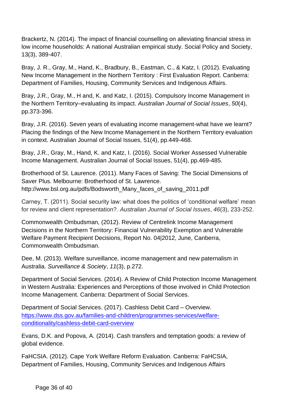Brackertz, N. (2014). The impact of financial counselling on alleviating financial stress in low income households: A national Australian empirical study. Social Policy and Society, 13(3), 389-407.

Bray, J. R., Gray, M., Hand, K., Bradbury, B., Eastman, C., & Katz, I. (2012). Evaluating New Income Management in the Northern Territory : First Evaluation Report. Canberra: Department of Families, Housing, Community Services and Indigenous Affairs.

Bray, J.R., Gray, M., H and, K. and Katz, I. (2015). Compulsory Income Management in the Northern Territory–evaluating its impact. *Australian Journal of Social Issues*, *50*(4), pp.373-396.

Bray, J.R. (2016). Seven years of evaluating income management-what have we learnt? Placing the findings of the New Income Management in the Northern Territory evaluation in context. Australian Journal of Social Issues, 51(4), pp.449-468.

Bray, J.R., Gray, M., Hand, K. and Katz, I. (2016). Social Worker Assessed Vulnerable Income Management. Australian Journal of Social Issues, 51(4), pp.469-485.

Brotherhood of St. Laurence. (2011). Many Faces of Saving: The Social Dimensions of Saver Plus. Melbourne: Brotherhood of St. Lawrence. http://www.bsl.org.au/pdfs/Bodsworth\_Many\_faces\_of\_saving\_2011.pdf

Carney, T. (2011). Social security law: what does the politics of 'conditional welfare' mean for review and client representation?. *Australian Journal of Social Issues*, *46*(3), 233-252.

Commonwealth Ombudsman, (2012). Review of Centrelink Income Management Decisions in the Northern Territory: Financial Vulnerability Exemption and Vulnerable Welfare Payment Recipient Decisions, Report No. 04|2012, June, Canberra, Commonwealth Ombudsman.

Dee, M. (2013). Welfare surveillance, income management and new paternalism in Australia. *Surveillance & Society*, *11*(3), p.272.

Department of Social Services. (2014). A Review of Child Protection Income Management in Western Australia: Experiences and Perceptions of those involved in Child Protection Income Management. Canberra: Department of Social Services.

Department of Social Services. (2017). Cashless Debit Card – Overview. [https://www.dss.gov.au/families-and-children/programmes-services/welfare](https://www.dss.gov.au/families-and-children/programmes-services/welfare-conditionality/cashless-debit-card-overview)[conditionality/cashless-debit-card-overview](https://www.dss.gov.au/families-and-children/programmes-services/welfare-conditionality/cashless-debit-card-overview)

Evans, D.K. and Popova, A. (2014). Cash transfers and temptation goods: a review of global evidence.

FaHCSIA. (2012). Cape York Welfare Reform Evaluation. Canberra: FaHCSIA, Department of Families, Housing, Community Services and Indigenous Affairs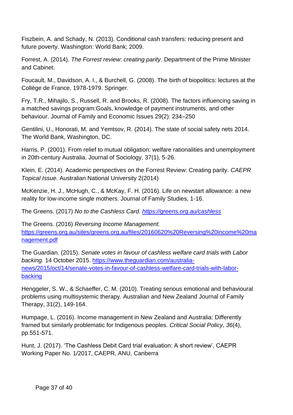Fiszbein, A. and Schady, N. (2013). Conditional cash transfers: reducing present and future poverty. Washington: World Bank; 2009.

Forrest, A. (2014). *The Forrest review: creating parity*. Department of the Prime Minister and Cabinet.

Foucault, M., Davidson, A. I., & Burchell, G. (2008). The birth of biopolitics: lectures at the Collège de France, 1978-1979. Springer.

Fry, T.R., Mihajilo, S., Russell, R. and Brooks, R. (2008). The factors influencing saving in a matched savings program:Goals, knowledge of payment instruments, and other behaviour. Journal of Family and Economic Issues 29(2): 234–250

Gentilini, U., Honorati, M. and Yemtsov, R. (2014). The state of social safety nets 2014. The World Bank, Washington, DC.

Harris, P. (2001). From relief to mutual obligation: welfare rationalities and unemployment in 20th-century Australia. Journal of Sociology, 37(1), 5-26.

Klein, E. (2014). Academic perspectives on the Forrest Review: Creating parity. *CAEPR Topical Issue.* Australian National University 2(2014)

McKenzie, H. J., McHugh, C., & McKay, F. H. (2016). Life on newstart allowance: a new reality for low-income single mothers. Journal of Family Studies, 1-16.

The Greens. (2017) *No to the Cashless Card.<https://greens.org.au/cashless>*

The Greens. (2016) *Reversing Income Management.* [https://greens.org.au/sites/greens.org.au/files/20160620%20Reversing%20income%20ma](https://greens.org.au/sites/greens.org.au/files/20160620%20Reversing%20income%20management.pdf) [nagement.pdf](https://greens.org.au/sites/greens.org.au/files/20160620%20Reversing%20income%20management.pdf)

The Guardian. (2015). *Senate votes in favour of cashless welfare card trials with Labor backing.* 14 October 2015. [https://www.theguardian.com/australia](https://www.theguardian.com/australia-news/2015/oct/14/senate-votes-in-favour-of-cashless-welfare-card-trials-with-labor-backing)[news/2015/oct/14/senate-votes-in-favour-of-cashless-welfare-card-trials-with-labor](https://www.theguardian.com/australia-news/2015/oct/14/senate-votes-in-favour-of-cashless-welfare-card-trials-with-labor-backing)[backing](https://www.theguardian.com/australia-news/2015/oct/14/senate-votes-in-favour-of-cashless-welfare-card-trials-with-labor-backing)

Henggeler, S. W., & Schaeffer, C. M. (2010). Treating serious emotional and behavioural problems using multisystemic therapy. Australian and New Zealand Journal of Family Therapy, 31(2), 149-164.

Humpage, L. (2016). Income management in New Zealand and Australia: Differently framed but similarly problematic for Indigenous peoples. *Critical Social Policy*, *36*(4), pp.551-571.

Hunt, J. (2017). 'The Cashless Debit Card trial evaluation: A short review', CAEPR Working Paper No. 1/2017, CAEPR, ANU, Canberra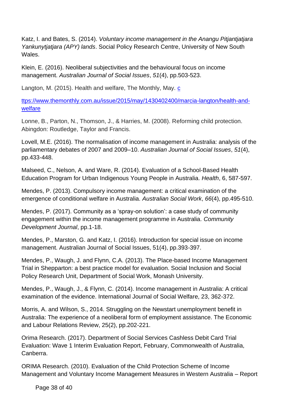Katz, I. and Bates, S. (2014). *Voluntary income management in the Anangu Pitjantjatjara Yankunytjatjara (APY) lands*. Social Policy Research Centre, University of New South **Wales** 

Klein, E. (2016). Neoliberal subjectivities and the behavioural focus on income management. *Australian Journal of Social Issues*, *51*(4), pp.503-523.

Langton, M. (2015). Health and welfare, The Monthly, May. [c](https://www.themonthly.com.au/issue/2015/may/1430402400/marcia-langton/health-and-welfare)

[ttps://www.themonthly.com.au/issue/2015/may/1430402400/marcia-langton/health-and](https://www.themonthly.com.au/issue/2015/may/1430402400/marcia-langton/health-and-welfare)[welfare](https://www.themonthly.com.au/issue/2015/may/1430402400/marcia-langton/health-and-welfare)

Lonne, B., Parton, N., Thomson, J., & Harries, M. (2008). Reforming child protection. Abingdon: Routledge, Taylor and Francis.

Lovell, M.E. (2016). The normalisation of income management in Australia: analysis of the parliamentary debates of 2007 and 2009–10. *Australian Journal of Social Issues*, *51*(4), pp.433-448.

Malseed, C., Nelson, A. and Ware, R. (2014). Evaluation of a School-Based Health Education Program for Urban Indigenous Young People in Australia. *Health*, 6, 587-597.

Mendes, P. (2013). Compulsory income management: a critical examination of the emergence of conditional welfare in Australia. *Australian Social Work*, *66*(4), pp.495-510.

Mendes, P. (2017). Community as a 'spray-on solution': a case study of community engagement within the income management programme in Australia. *Community Development Journal*, pp.1-18.

Mendes, P., Marston, G. and Katz, I. (2016). Introduction for special issue on income management. Australian Journal of Social Issues, 51(4), pp.393-397.

Mendes, P., Waugh, J. and Flynn, C.A. (2013). The Place-based Income Management Trial in Shepparton: a best practice model for evaluation. Social Inclusion and Social Policy Research Unit, Department of Social Work, Monash University.

Mendes, P., Waugh, J., & Flynn, C. (2014). Income management in Australia: A critical examination of the evidence. International Journal of Social Welfare, 23, 362-372.

Morris, A. and Wilson, S., 2014. Struggling on the Newstart unemployment benefit in Australia: The experience of a neoliberal form of employment assistance. The Economic and Labour Relations Review, 25(2), pp.202-221.

Orima Research. (2017). Department of Social Services Cashless Debit Card Trial Evaluation: Wave 1 Interim Evaluation Report, February, Commonwealth of Australia, Canberra.

ORIMA Research. (2010). Evaluation of the Child Protection Scheme of Income Management and Voluntary Income Management Measures in Western Australia – Report

Page 38 of 40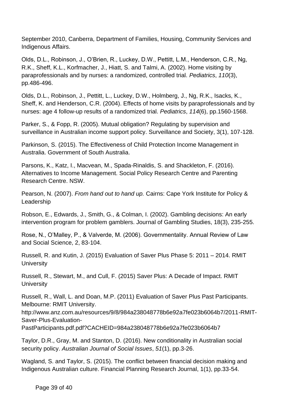September 2010, Canberra, Department of Families, Housing, Community Services and Indigenous Affairs.

Olds, D.L., Robinson, J., O'Brien, R., Luckey, D.W., Pettitt, L.M., Henderson, C.R., Ng, R.K., Sheff, K.L., Korfmacher, J., Hiatt, S. and Talmi, A. (2002). Home visiting by paraprofessionals and by nurses: a randomized, controlled trial. *Pediatrics*, *110*(3), pp.486-496.

Olds, D.L., Robinson, J., Pettitt, L., Luckey, D.W., Holmberg, J., Ng, R.K., Isacks, K., Sheff, K. and Henderson, C.R. (2004). Effects of home visits by paraprofessionals and by nurses: age 4 follow-up results of a randomized trial. *Pediatrics*, *114*(6), pp.1560-1568.

Parker, S., & Fopp, R. (2005). Mutual obligation? Regulating by supervision and surveillance in Australian income support policy. Surveillance and Society, 3(1), 107-128.

Parkinson, S. (2015). The Effectiveness of Child Protection Income Management in Australia. Government of South Australia.

Parsons, K., Katz, I., Macvean, M., Spada-Rinaldis, S. and Shackleton, F. (2016). Alternatives to Income Management. Social Policy Research Centre and Parenting Research Centre. NSW.

Pearson, N. (2007). *From hand out to hand up.* Cairns: Cape York Institute for Policy & Leadership

Robson, E., Edwards, J., Smith, G., & Colman, I. (2002). Gambling decisions: An early intervention program for problem gamblers. Journal of Gambling Studies, 18(3), 235-255.

Rose, N., O'Malley, P., & Valverde, M. (2006). Governmentality. Annual Review of Law and Social Science, 2, 83-104.

Russell, R. and Kutin, J. (2015) Evaluation of Saver Plus Phase 5: 2011 – 2014. RMIT **University** 

Russell, R., Stewart, M., and Cull, F. (2015) Saver Plus: A Decade of Impact. RMIT **University** 

Russell, R., Wall, L. and Doan, M.P. (2011) Evaluation of Saver Plus Past Participants. Melbourne: RMIT University.

http://www.anz.com.au/resources/9/8/984a238048778b6e92a7fe023b6064b7/2011-RMIT-Saver-Plus-Evaluation-

PastParticipants.pdf.pdf?CACHEID=984a238048778b6e92a7fe023b6064b7

Taylor, D.R., Gray, M. and Stanton, D. (2016). New conditionality in Australian social security policy. *Australian Journal of Social Issues*, *51*(1), pp.3-26.

Wagland, S. and Taylor, S. (2015). The conflict between financial decision making and Indigenous Australian culture. Financial Planning Research Journal, 1(1), pp.33-54.